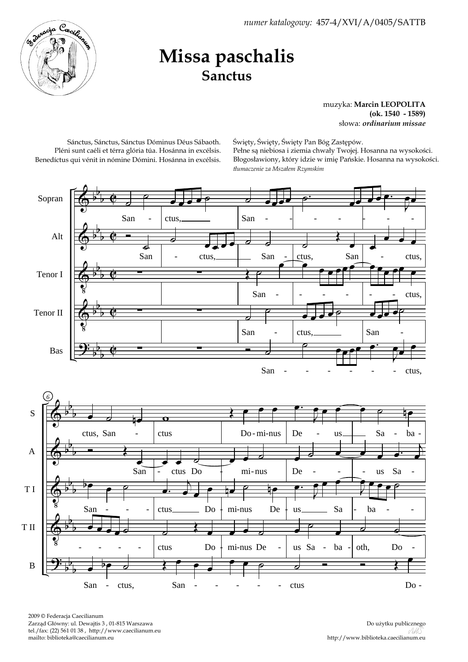*numer katalogowy:* 457-4/XVI/A/0405/SATTB



## **Missa paschalis Sanctus**

muzyka: **Marcin LEOPOLITA (ok. 1540 - 1589)** słowa: *ordinarium missae*

Sánctus, Sánctus, Sánctus Dóminus Déus Sábaoth. Pléni sunt caéli et térra glória túa. Hosánna in excélsis. Benedíctus qui vénit in nómine Dómini. Hosánna in excélsis. Święty, Święty, Święty Pan Bóg Zastępów. Pełne są niebiosa i ziemia chwały Twojej. Hosanna na wysokości. Błogosławiony, który idzie w imię Pańskie. Hosanna na wysokości. *tłumaczenie za Mszałem Rzymskim*



2009 © Federacja Caecilianum Zarząd Główny: ul. Dewajtis 3 , 01-815 Warszawa tel./fax: (22) 561 01 38 , http://www.caecilianum.eu mailto: biblioteka@caecilianum.eu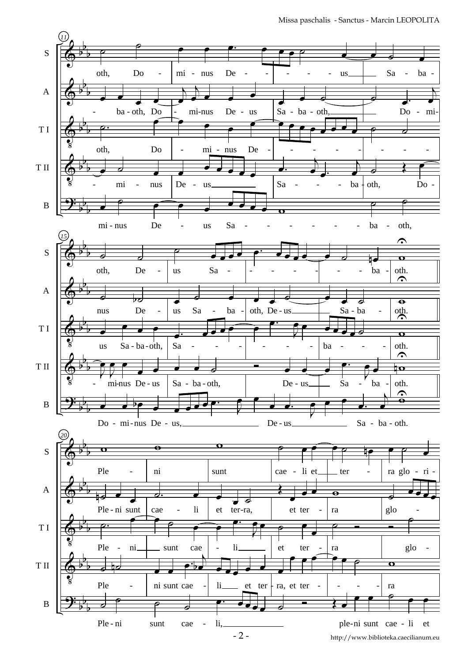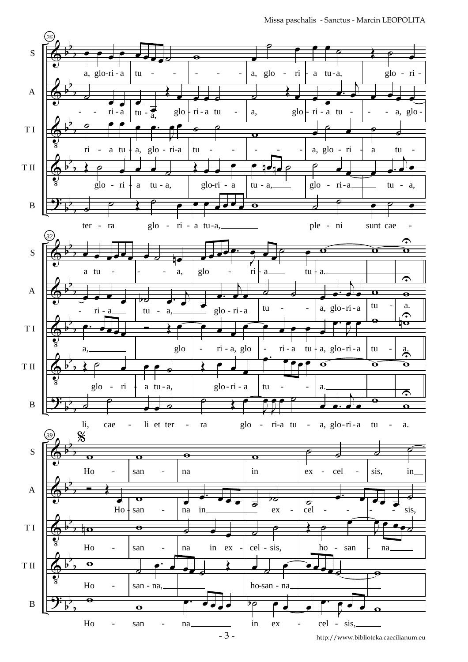